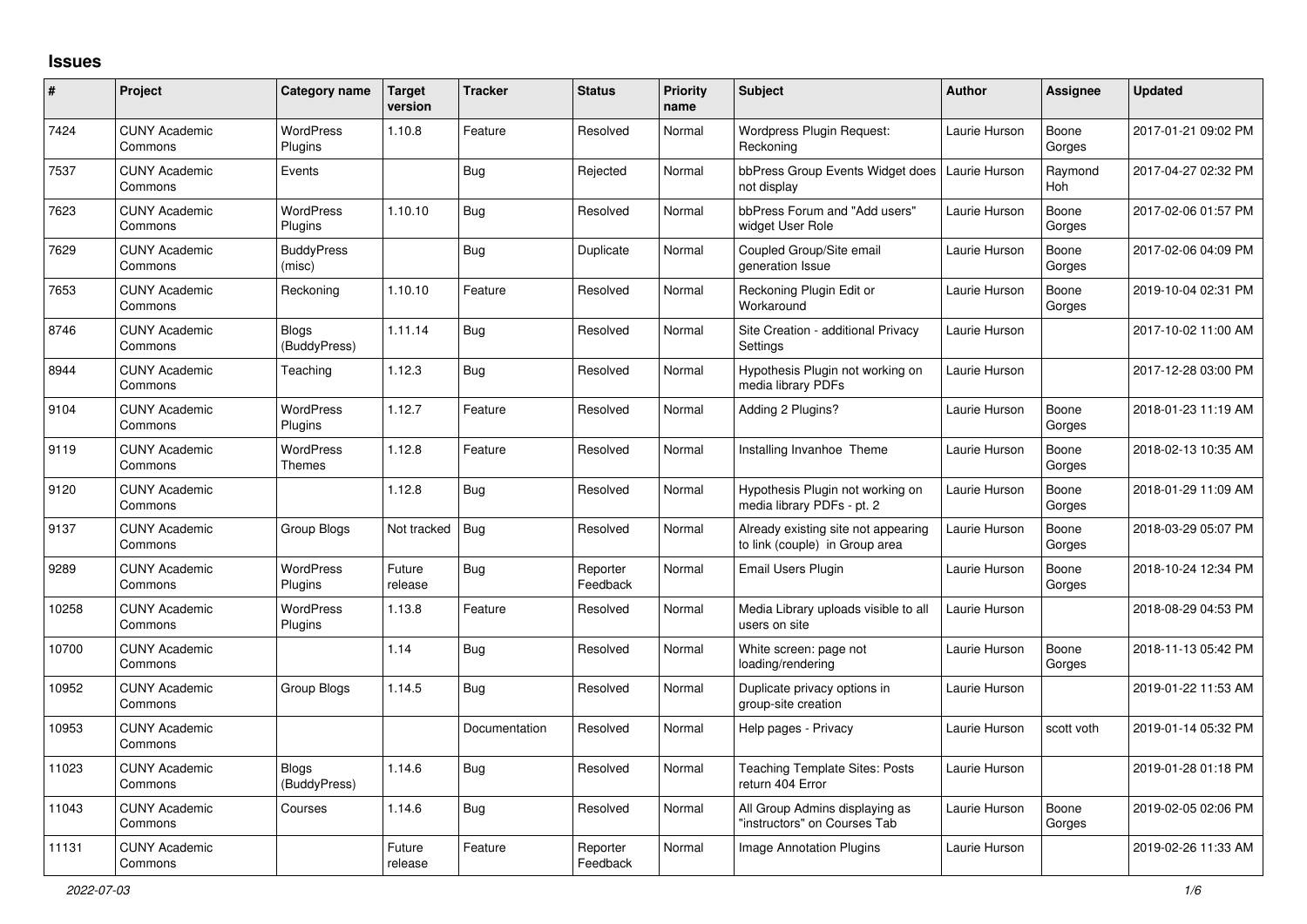## **Issues**

| #     | Project                         | Category name                     | Target<br>version | <b>Tracker</b> | <b>Status</b>        | <b>Priority</b><br>name | <b>Subject</b>                                                        | <b>Author</b> | <b>Assignee</b> | <b>Updated</b>      |
|-------|---------------------------------|-----------------------------------|-------------------|----------------|----------------------|-------------------------|-----------------------------------------------------------------------|---------------|-----------------|---------------------|
| 7424  | <b>CUNY Academic</b><br>Commons | <b>WordPress</b><br>Plugins       | 1.10.8            | Feature        | Resolved             | Normal                  | Wordpress Plugin Request:<br>Reckoning                                | Laurie Hurson | Boone<br>Gorges | 2017-01-21 09:02 PM |
| 7537  | <b>CUNY Academic</b><br>Commons | Events                            |                   | Bug            | Rejected             | Normal                  | bbPress Group Events Widget does<br>not display                       | Laurie Hurson | Raymond<br>Hoh  | 2017-04-27 02:32 PM |
| 7623  | <b>CUNY Academic</b><br>Commons | <b>WordPress</b><br>Plugins       | 1.10.10           | Bug            | Resolved             | Normal                  | bbPress Forum and "Add users"<br>widget User Role                     | Laurie Hurson | Boone<br>Gorges | 2017-02-06 01:57 PM |
| 7629  | <b>CUNY Academic</b><br>Commons | <b>BuddyPress</b><br>(misc)       |                   | <b>Bug</b>     | Duplicate            | Normal                  | Coupled Group/Site email<br>generation Issue                          | Laurie Hurson | Boone<br>Gorges | 2017-02-06 04:09 PM |
| 7653  | <b>CUNY Academic</b><br>Commons | Reckoning                         | 1.10.10           | Feature        | Resolved             | Normal                  | Reckoning Plugin Edit or<br>Workaround                                | Laurie Hurson | Boone<br>Gorges | 2019-10-04 02:31 PM |
| 8746  | <b>CUNY Academic</b><br>Commons | <b>Blogs</b><br>(BuddyPress)      | 1.11.14           | Bug            | Resolved             | Normal                  | Site Creation - additional Privacy<br>Settings                        | Laurie Hurson |                 | 2017-10-02 11:00 AM |
| 8944  | <b>CUNY Academic</b><br>Commons | Teaching                          | 1.12.3            | Bug            | Resolved             | Normal                  | Hypothesis Plugin not working on<br>media library PDFs                | Laurie Hurson |                 | 2017-12-28 03:00 PM |
| 9104  | <b>CUNY Academic</b><br>Commons | WordPress<br>Plugins              | 1.12.7            | Feature        | Resolved             | Normal                  | Adding 2 Plugins?                                                     | Laurie Hurson | Boone<br>Gorges | 2018-01-23 11:19 AM |
| 9119  | <b>CUNY Academic</b><br>Commons | <b>WordPress</b><br><b>Themes</b> | 1.12.8            | Feature        | Resolved             | Normal                  | Installing Invanhoe Theme                                             | Laurie Hurson | Boone<br>Gorges | 2018-02-13 10:35 AM |
| 9120  | <b>CUNY Academic</b><br>Commons |                                   | 1.12.8            | <b>Bug</b>     | Resolved             | Normal                  | Hypothesis Plugin not working on<br>media library PDFs - pt. 2        | Laurie Hurson | Boone<br>Gorges | 2018-01-29 11:09 AM |
| 9137  | <b>CUNY Academic</b><br>Commons | Group Blogs                       | Not tracked       | Bug            | Resolved             | Normal                  | Already existing site not appearing<br>to link (couple) in Group area | Laurie Hurson | Boone<br>Gorges | 2018-03-29 05:07 PM |
| 9289  | <b>CUNY Academic</b><br>Commons | <b>WordPress</b><br>Plugins       | Future<br>release | <b>Bug</b>     | Reporter<br>Feedback | Normal                  | Email Users Plugin                                                    | Laurie Hurson | Boone<br>Gorges | 2018-10-24 12:34 PM |
| 10258 | <b>CUNY Academic</b><br>Commons | WordPress<br>Plugins              | 1.13.8            | Feature        | Resolved             | Normal                  | Media Library uploads visible to all<br>users on site                 | Laurie Hurson |                 | 2018-08-29 04:53 PM |
| 10700 | <b>CUNY Academic</b><br>Commons |                                   | 1.14              | Bug            | Resolved             | Normal                  | White screen: page not<br>loading/rendering                           | Laurie Hurson | Boone<br>Gorges | 2018-11-13 05:42 PM |
| 10952 | <b>CUNY Academic</b><br>Commons | Group Blogs                       | 1.14.5            | Bug            | Resolved             | Normal                  | Duplicate privacy options in<br>group-site creation                   | Laurie Hurson |                 | 2019-01-22 11:53 AM |
| 10953 | <b>CUNY Academic</b><br>Commons |                                   |                   | Documentation  | Resolved             | Normal                  | Help pages - Privacy                                                  | Laurie Hurson | scott voth      | 2019-01-14 05:32 PM |
| 11023 | <b>CUNY Academic</b><br>Commons | <b>Blogs</b><br>(BuddyPress)      | 1.14.6            | Bug            | Resolved             | Normal                  | <b>Teaching Template Sites: Posts</b><br>return 404 Error             | Laurie Hurson |                 | 2019-01-28 01:18 PM |
| 11043 | <b>CUNY Academic</b><br>Commons | Courses                           | 1.14.6            | <b>Bug</b>     | Resolved             | Normal                  | All Group Admins displaying as<br>'instructors" on Courses Tab        | Laurie Hurson | Boone<br>Gorges | 2019-02-05 02:06 PM |
| 11131 | <b>CUNY Academic</b><br>Commons |                                   | Future<br>release | Feature        | Reporter<br>Feedback | Normal                  | Image Annotation Plugins                                              | Laurie Hurson |                 | 2019-02-26 11:33 AM |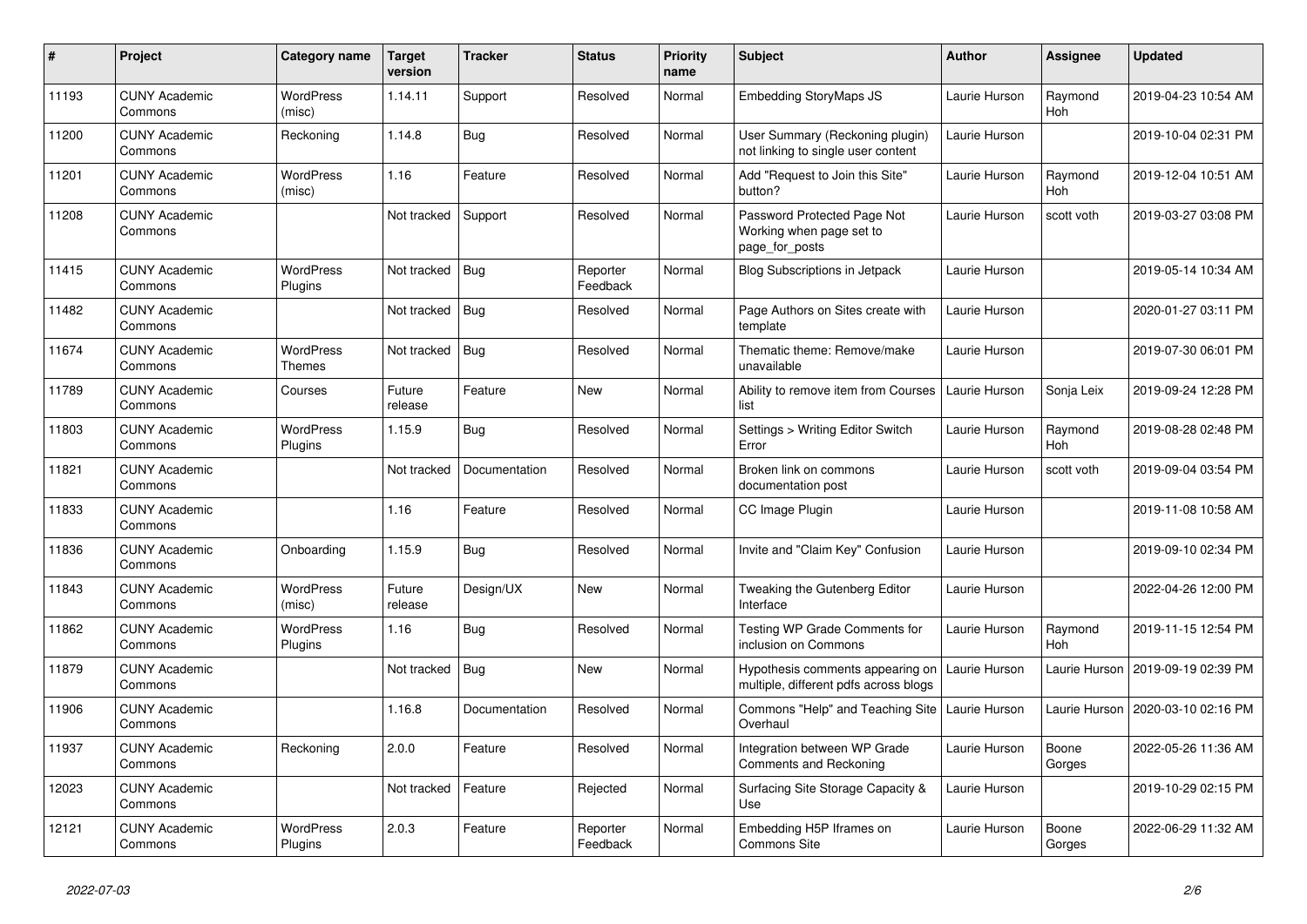| #     | Project                         | Category name               | <b>Target</b><br>version | <b>Tracker</b> | <b>Status</b>        | <b>Priority</b><br>name | <b>Subject</b>                                                            | <b>Author</b> | <b>Assignee</b>       | <b>Updated</b>      |
|-------|---------------------------------|-----------------------------|--------------------------|----------------|----------------------|-------------------------|---------------------------------------------------------------------------|---------------|-----------------------|---------------------|
| 11193 | <b>CUNY Academic</b><br>Commons | <b>WordPress</b><br>(misc)  | 1.14.11                  | Support        | Resolved             | Normal                  | <b>Embedding StoryMaps JS</b>                                             | Laurie Hurson | Raymond<br><b>Hoh</b> | 2019-04-23 10:54 AM |
| 11200 | <b>CUNY Academic</b><br>Commons | Reckoning                   | 1.14.8                   | Bug            | Resolved             | Normal                  | User Summary (Reckoning plugin)<br>not linking to single user content     | Laurie Hurson |                       | 2019-10-04 02:31 PM |
| 11201 | <b>CUNY Academic</b><br>Commons | <b>WordPress</b><br>(misc)  | 1.16                     | Feature        | Resolved             | Normal                  | Add "Request to Join this Site"<br>button?                                | Laurie Hurson | Raymond<br><b>Hoh</b> | 2019-12-04 10:51 AM |
| 11208 | <b>CUNY Academic</b><br>Commons |                             | Not tracked              | Support        | Resolved             | Normal                  | Password Protected Page Not<br>Working when page set to<br>page_for_posts | Laurie Hurson | scott voth            | 2019-03-27 03:08 PM |
| 11415 | <b>CUNY Academic</b><br>Commons | <b>WordPress</b><br>Plugins | Not tracked              | Bug            | Reporter<br>Feedback | Normal                  | Blog Subscriptions in Jetpack                                             | Laurie Hurson |                       | 2019-05-14 10:34 AM |
| 11482 | <b>CUNY Academic</b><br>Commons |                             | Not tracked              | Bug            | Resolved             | Normal                  | Page Authors on Sites create with<br>template                             | Laurie Hurson |                       | 2020-01-27 03:11 PM |
| 11674 | <b>CUNY Academic</b><br>Commons | WordPress<br>Themes         | Not tracked              | <b>Bug</b>     | Resolved             | Normal                  | Thematic theme: Remove/make<br>unavailable                                | Laurie Hurson |                       | 2019-07-30 06:01 PM |
| 11789 | <b>CUNY Academic</b><br>Commons | Courses                     | Future<br>release        | Feature        | New                  | Normal                  | Ability to remove item from Courses<br>list                               | Laurie Hurson | Sonja Leix            | 2019-09-24 12:28 PM |
| 11803 | <b>CUNY Academic</b><br>Commons | WordPress<br>Plugins        | 1.15.9                   | <b>Bug</b>     | Resolved             | Normal                  | Settings > Writing Editor Switch<br>Error                                 | Laurie Hurson | Raymond<br>Hoh        | 2019-08-28 02:48 PM |
| 11821 | <b>CUNY Academic</b><br>Commons |                             | Not tracked              | Documentation  | Resolved             | Normal                  | Broken link on commons<br>documentation post                              | Laurie Hurson | scott voth            | 2019-09-04 03:54 PM |
| 11833 | <b>CUNY Academic</b><br>Commons |                             | 1.16                     | Feature        | Resolved             | Normal                  | CC Image Plugin                                                           | Laurie Hurson |                       | 2019-11-08 10:58 AM |
| 11836 | <b>CUNY Academic</b><br>Commons | Onboarding                  | 1.15.9                   | Bug            | Resolved             | Normal                  | Invite and "Claim Key" Confusion                                          | Laurie Hurson |                       | 2019-09-10 02:34 PM |
| 11843 | <b>CUNY Academic</b><br>Commons | <b>WordPress</b><br>(misc)  | Future<br>release        | Design/UX      | New                  | Normal                  | Tweaking the Gutenberg Editor<br>Interface                                | Laurie Hurson |                       | 2022-04-26 12:00 PM |
| 11862 | <b>CUNY Academic</b><br>Commons | WordPress<br>Plugins        | 1.16                     | Bug            | Resolved             | Normal                  | Testing WP Grade Comments for<br>inclusion on Commons                     | Laurie Hurson | Raymond<br><b>Hoh</b> | 2019-11-15 12:54 PM |
| 11879 | <b>CUNY Academic</b><br>Commons |                             | Not tracked              | Bug            | New                  | Normal                  | Hypothesis comments appearing on<br>multiple, different pdfs across blogs | Laurie Hurson | Laurie Hurson         | 2019-09-19 02:39 PM |
| 11906 | <b>CUNY Academic</b><br>Commons |                             | 1.16.8                   | Documentation  | Resolved             | Normal                  | Commons "Help" and Teaching Site<br>Overhaul                              | Laurie Hurson | Laurie Hurson         | 2020-03-10 02:16 PM |
| 11937 | <b>CUNY Academic</b><br>Commons | Reckoning                   | 2.0.0                    | Feature        | Resolved             | Normal                  | Integration between WP Grade<br>Comments and Reckoning                    | Laurie Hurson | Boone<br>Gorges       | 2022-05-26 11:36 AM |
| 12023 | <b>CUNY Academic</b><br>Commons |                             | Not tracked              | Feature        | Rejected             | Normal                  | Surfacing Site Storage Capacity &<br>Use                                  | Laurie Hurson |                       | 2019-10-29 02:15 PM |
| 12121 | <b>CUNY Academic</b><br>Commons | WordPress<br>Plugins        | 2.0.3                    | Feature        | Reporter<br>Feedback | Normal                  | Embedding H5P Iframes on<br><b>Commons Site</b>                           | Laurie Hurson | Boone<br>Gorges       | 2022-06-29 11:32 AM |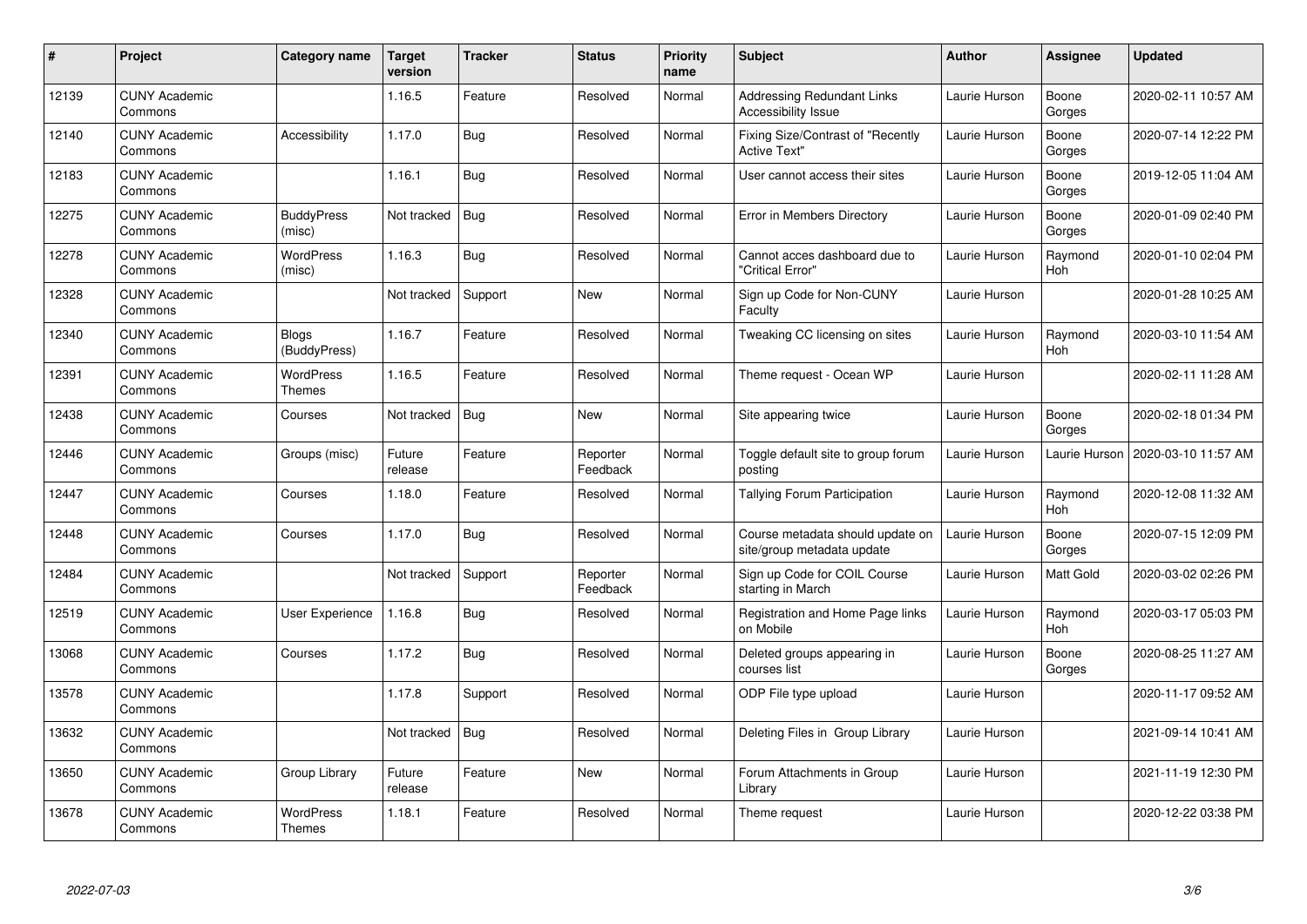| #     | <b>Project</b>                  | Category name                     | <b>Target</b><br>version | <b>Tracker</b> | <b>Status</b>        | <b>Priority</b><br>name | <b>Subject</b>                                                 | <b>Author</b> | Assignee        | <b>Updated</b>      |
|-------|---------------------------------|-----------------------------------|--------------------------|----------------|----------------------|-------------------------|----------------------------------------------------------------|---------------|-----------------|---------------------|
| 12139 | <b>CUNY Academic</b><br>Commons |                                   | 1.16.5                   | Feature        | Resolved             | Normal                  | <b>Addressing Redundant Links</b><br>Accessibility Issue       | Laurie Hurson | Boone<br>Gorges | 2020-02-11 10:57 AM |
| 12140 | <b>CUNY Academic</b><br>Commons | Accessibility                     | 1.17.0                   | Bug            | Resolved             | Normal                  | Fixing Size/Contrast of "Recently<br><b>Active Text"</b>       | Laurie Hurson | Boone<br>Gorges | 2020-07-14 12:22 PM |
| 12183 | <b>CUNY Academic</b><br>Commons |                                   | 1.16.1                   | <b>Bug</b>     | Resolved             | Normal                  | User cannot access their sites                                 | Laurie Hurson | Boone<br>Gorges | 2019-12-05 11:04 AM |
| 12275 | <b>CUNY Academic</b><br>Commons | <b>BuddyPress</b><br>(misc)       | Not tracked              | <b>Bug</b>     | Resolved             | Normal                  | Error in Members Directory                                     | Laurie Hurson | Boone<br>Gorges | 2020-01-09 02:40 PM |
| 12278 | <b>CUNY Academic</b><br>Commons | <b>WordPress</b><br>(misc)        | 1.16.3                   | Bug            | Resolved             | Normal                  | Cannot acces dashboard due to<br>'Critical Error"              | Laurie Hurson | Raymond<br>Hoh  | 2020-01-10 02:04 PM |
| 12328 | <b>CUNY Academic</b><br>Commons |                                   | Not tracked              | Support        | <b>New</b>           | Normal                  | Sign up Code for Non-CUNY<br>Faculty                           | Laurie Hurson |                 | 2020-01-28 10:25 AM |
| 12340 | <b>CUNY Academic</b><br>Commons | <b>Blogs</b><br>(BuddyPress)      | 1.16.7                   | Feature        | Resolved             | Normal                  | Tweaking CC licensing on sites                                 | Laurie Hurson | Raymond<br>Hoh  | 2020-03-10 11:54 AM |
| 12391 | <b>CUNY Academic</b><br>Commons | WordPress<br>Themes               | 1.16.5                   | Feature        | Resolved             | Normal                  | Theme request - Ocean WP                                       | Laurie Hurson |                 | 2020-02-11 11:28 AM |
| 12438 | <b>CUNY Academic</b><br>Commons | Courses                           | Not tracked              | <b>Bug</b>     | <b>New</b>           | Normal                  | Site appearing twice                                           | Laurie Hurson | Boone<br>Gorges | 2020-02-18 01:34 PM |
| 12446 | <b>CUNY Academic</b><br>Commons | Groups (misc)                     | Future<br>release        | Feature        | Reporter<br>Feedback | Normal                  | Toggle default site to group forum<br>posting                  | Laurie Hurson | Laurie Hurson   | 2020-03-10 11:57 AM |
| 12447 | <b>CUNY Academic</b><br>Commons | Courses                           | 1.18.0                   | Feature        | Resolved             | Normal                  | Tallying Forum Participation                                   | Laurie Hurson | Raymond<br>Hoh  | 2020-12-08 11:32 AM |
| 12448 | <b>CUNY Academic</b><br>Commons | Courses                           | 1.17.0                   | Bug            | Resolved             | Normal                  | Course metadata should update on<br>site/group metadata update | Laurie Hurson | Boone<br>Gorges | 2020-07-15 12:09 PM |
| 12484 | <b>CUNY Academic</b><br>Commons |                                   | Not tracked              | Support        | Reporter<br>Feedback | Normal                  | Sign up Code for COIL Course<br>starting in March              | Laurie Hurson | Matt Gold       | 2020-03-02 02:26 PM |
| 12519 | <b>CUNY Academic</b><br>Commons | User Experience                   | 1.16.8                   | <b>Bug</b>     | Resolved             | Normal                  | Registration and Home Page links<br>on Mobile                  | Laurie Hurson | Raymond<br>Hoh  | 2020-03-17 05:03 PM |
| 13068 | <b>CUNY Academic</b><br>Commons | Courses                           | 1.17.2                   | Bug            | Resolved             | Normal                  | Deleted groups appearing in<br>courses list                    | Laurie Hurson | Boone<br>Gorges | 2020-08-25 11:27 AM |
| 13578 | <b>CUNY Academic</b><br>Commons |                                   | 1.17.8                   | Support        | Resolved             | Normal                  | ODP File type upload                                           | Laurie Hurson |                 | 2020-11-17 09:52 AM |
| 13632 | <b>CUNY Academic</b><br>Commons |                                   | Not tracked              | <b>Bug</b>     | Resolved             | Normal                  | Deleting Files in Group Library                                | Laurie Hurson |                 | 2021-09-14 10:41 AM |
| 13650 | <b>CUNY Academic</b><br>Commons | Group Library                     | Future<br>release        | Feature        | New                  | Normal                  | Forum Attachments in Group<br>Library                          | Laurie Hurson |                 | 2021-11-19 12:30 PM |
| 13678 | <b>CUNY Academic</b><br>Commons | <b>WordPress</b><br><b>Themes</b> | 1.18.1                   | Feature        | Resolved             | Normal                  | Theme request                                                  | Laurie Hurson |                 | 2020-12-22 03:38 PM |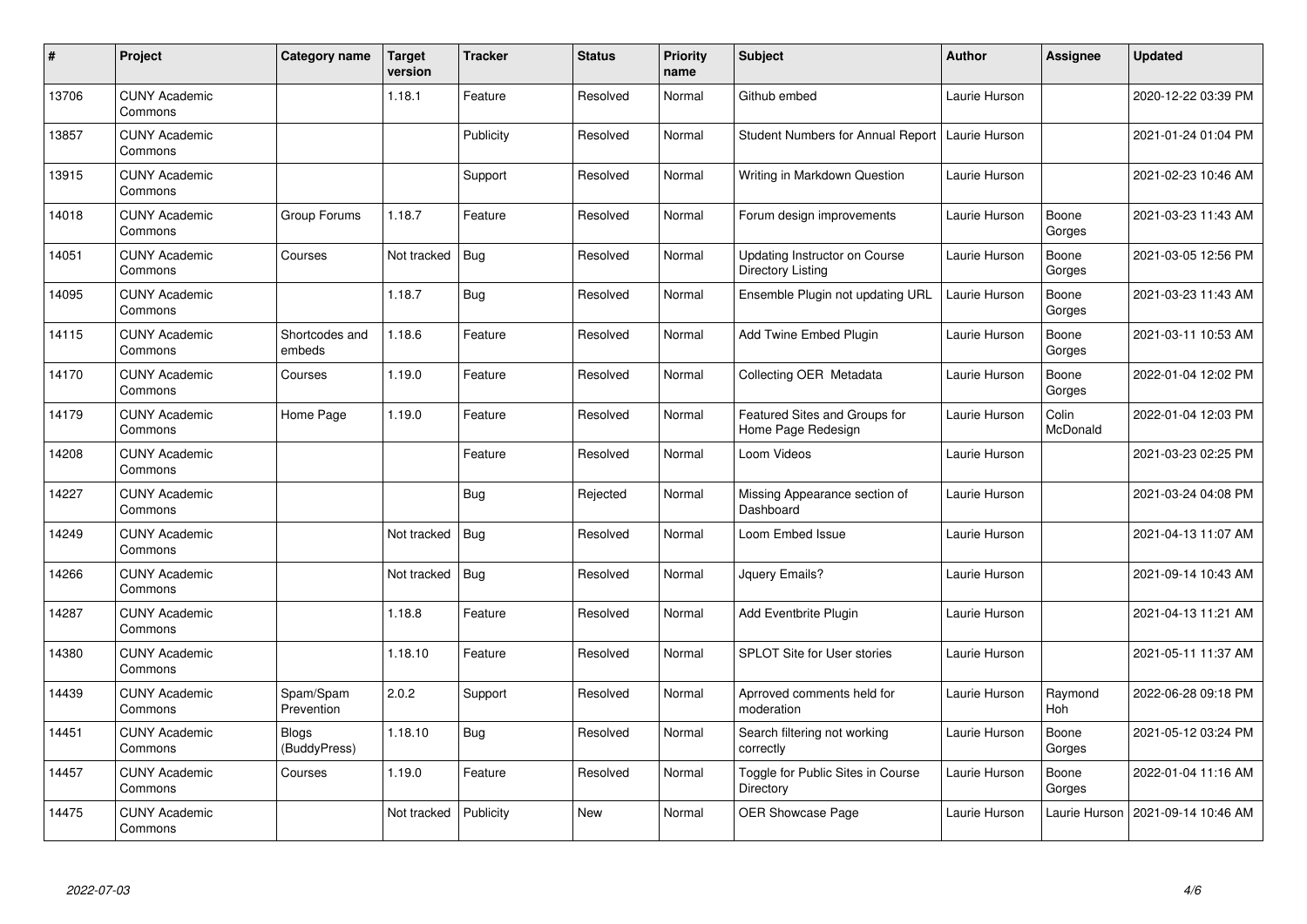| $\pmb{\#}$ | Project                         | Category name                | Target<br>version | <b>Tracker</b> | <b>Status</b> | Priority<br>name | <b>Subject</b>                                      | <b>Author</b> | <b>Assignee</b>   | <b>Updated</b>      |
|------------|---------------------------------|------------------------------|-------------------|----------------|---------------|------------------|-----------------------------------------------------|---------------|-------------------|---------------------|
| 13706      | <b>CUNY Academic</b><br>Commons |                              | 1.18.1            | Feature        | Resolved      | Normal           | Github embed                                        | Laurie Hurson |                   | 2020-12-22 03:39 PM |
| 13857      | <b>CUNY Academic</b><br>Commons |                              |                   | Publicity      | Resolved      | Normal           | Student Numbers for Annual Report   Laurie Hurson   |               |                   | 2021-01-24 01:04 PM |
| 13915      | <b>CUNY Academic</b><br>Commons |                              |                   | Support        | Resolved      | Normal           | Writing in Markdown Question                        | Laurie Hurson |                   | 2021-02-23 10:46 AM |
| 14018      | <b>CUNY Academic</b><br>Commons | Group Forums                 | 1.18.7            | Feature        | Resolved      | Normal           | Forum design improvements                           | Laurie Hurson | Boone<br>Gorges   | 2021-03-23 11:43 AM |
| 14051      | <b>CUNY Academic</b><br>Commons | Courses                      | Not tracked       | <b>Bug</b>     | Resolved      | Normal           | Updating Instructor on Course<br>Directory Listing  | Laurie Hurson | Boone<br>Gorges   | 2021-03-05 12:56 PM |
| 14095      | <b>CUNY Academic</b><br>Commons |                              | 1.18.7            | <b>Bug</b>     | Resolved      | Normal           | Ensemble Plugin not updating URL                    | Laurie Hurson | Boone<br>Gorges   | 2021-03-23 11:43 AM |
| 14115      | <b>CUNY Academic</b><br>Commons | Shortcodes and<br>embeds     | 1.18.6            | Feature        | Resolved      | Normal           | Add Twine Embed Plugin                              | Laurie Hurson | Boone<br>Gorges   | 2021-03-11 10:53 AM |
| 14170      | <b>CUNY Academic</b><br>Commons | Courses                      | 1.19.0            | Feature        | Resolved      | Normal           | Collecting OER Metadata                             | Laurie Hurson | Boone<br>Gorges   | 2022-01-04 12:02 PM |
| 14179      | <b>CUNY Academic</b><br>Commons | Home Page                    | 1.19.0            | Feature        | Resolved      | Normal           | Featured Sites and Groups for<br>Home Page Redesign | Laurie Hurson | Colin<br>McDonald | 2022-01-04 12:03 PM |
| 14208      | <b>CUNY Academic</b><br>Commons |                              |                   | Feature        | Resolved      | Normal           | Loom Videos                                         | Laurie Hurson |                   | 2021-03-23 02:25 PM |
| 14227      | <b>CUNY Academic</b><br>Commons |                              |                   | <b>Bug</b>     | Rejected      | Normal           | Missing Appearance section of<br>Dashboard          | Laurie Hurson |                   | 2021-03-24 04:08 PM |
| 14249      | <b>CUNY Academic</b><br>Commons |                              | Not tracked       | Bug            | Resolved      | Normal           | Loom Embed Issue                                    | Laurie Hurson |                   | 2021-04-13 11:07 AM |
| 14266      | <b>CUNY Academic</b><br>Commons |                              | Not tracked       | <b>Bug</b>     | Resolved      | Normal           | Jquery Emails?                                      | Laurie Hurson |                   | 2021-09-14 10:43 AM |
| 14287      | <b>CUNY Academic</b><br>Commons |                              | 1.18.8            | Feature        | Resolved      | Normal           | Add Eventbrite Plugin                               | Laurie Hurson |                   | 2021-04-13 11:21 AM |
| 14380      | <b>CUNY Academic</b><br>Commons |                              | 1.18.10           | Feature        | Resolved      | Normal           | <b>SPLOT Site for User stories</b>                  | Laurie Hurson |                   | 2021-05-11 11:37 AM |
| 14439      | <b>CUNY Academic</b><br>Commons | Spam/Spam<br>Prevention      | 2.0.2             | Support        | Resolved      | Normal           | Aprroved comments held for<br>moderation            | Laurie Hurson | Raymond<br>Hoh    | 2022-06-28 09:18 PM |
| 14451      | <b>CUNY Academic</b><br>Commons | <b>Blogs</b><br>(BuddyPress) | 1.18.10           | Bug            | Resolved      | Normal           | Search filtering not working<br>correctly           | Laurie Hurson | Boone<br>Gorges   | 2021-05-12 03:24 PM |
| 14457      | <b>CUNY Academic</b><br>Commons | Courses                      | 1.19.0            | Feature        | Resolved      | Normal           | Toggle for Public Sites in Course<br>Directory      | Laurie Hurson | Boone<br>Gorges   | 2022-01-04 11:16 AM |
| 14475      | <b>CUNY Academic</b><br>Commons |                              | Not tracked       | Publicity      | <b>New</b>    | Normal           | <b>OER Showcase Page</b>                            | Laurie Hurson | Laurie Hurson     | 2021-09-14 10:46 AM |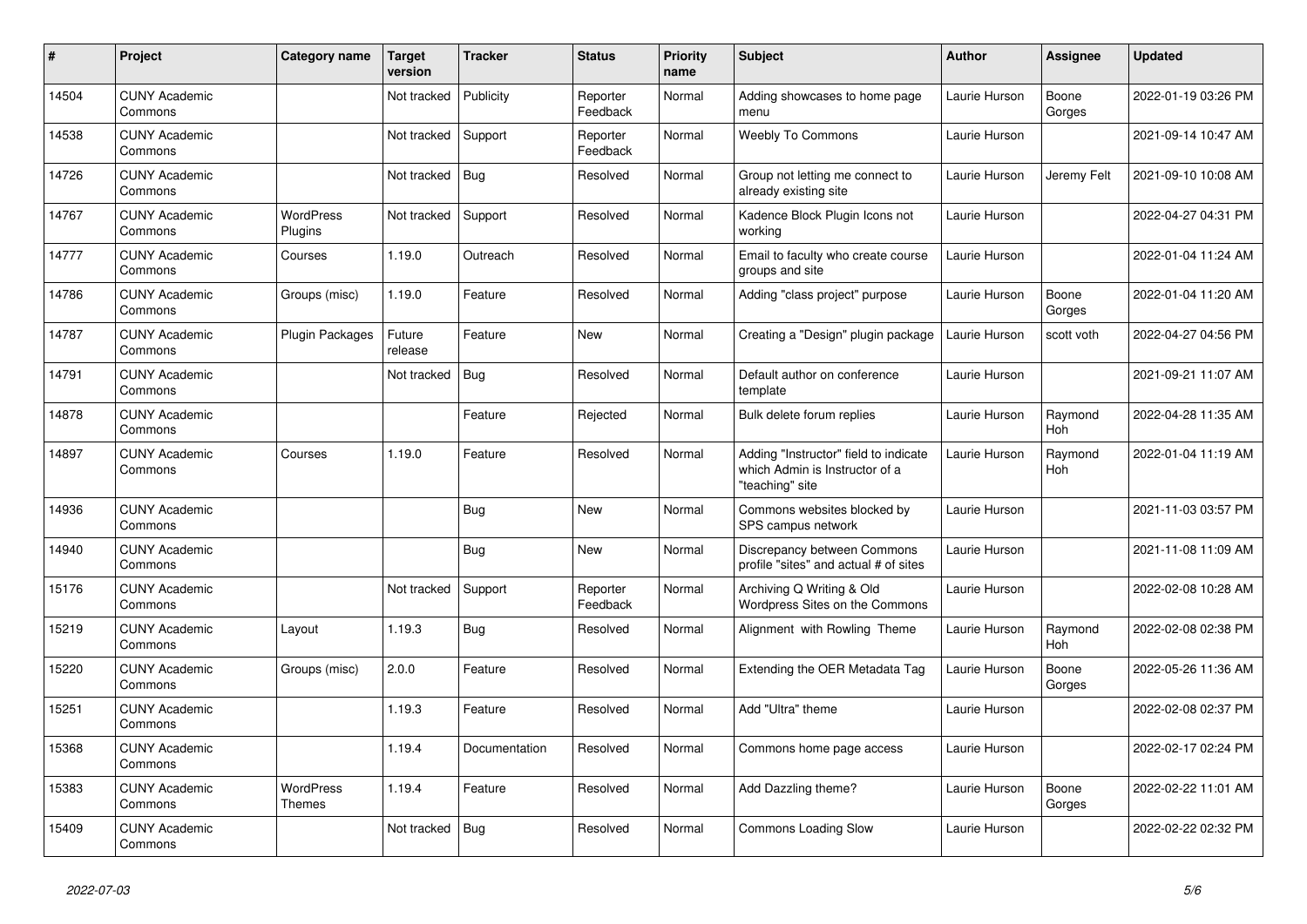| #     | Project                         | Category name               | <b>Target</b><br>version | <b>Tracker</b> | <b>Status</b>        | <b>Priority</b><br>name | <b>Subject</b>                                                                             | <b>Author</b> | <b>Assignee</b> | <b>Updated</b>      |
|-------|---------------------------------|-----------------------------|--------------------------|----------------|----------------------|-------------------------|--------------------------------------------------------------------------------------------|---------------|-----------------|---------------------|
| 14504 | <b>CUNY Academic</b><br>Commons |                             | Not tracked              | Publicity      | Reporter<br>Feedback | Normal                  | Adding showcases to home page<br>menu                                                      | Laurie Hurson | Boone<br>Gorges | 2022-01-19 03:26 PM |
| 14538 | <b>CUNY Academic</b><br>Commons |                             | Not tracked              | Support        | Reporter<br>Feedback | Normal                  | <b>Weebly To Commons</b>                                                                   | Laurie Hurson |                 | 2021-09-14 10:47 AM |
| 14726 | <b>CUNY Academic</b><br>Commons |                             | Not tracked              | Bug            | Resolved             | Normal                  | Group not letting me connect to<br>already existing site                                   | Laurie Hurson | Jeremy Felt     | 2021-09-10 10:08 AM |
| 14767 | <b>CUNY Academic</b><br>Commons | <b>WordPress</b><br>Plugins | Not tracked              | Support        | Resolved             | Normal                  | Kadence Block Plugin Icons not<br>workina                                                  | Laurie Hurson |                 | 2022-04-27 04:31 PM |
| 14777 | <b>CUNY Academic</b><br>Commons | Courses                     | 1.19.0                   | Outreach       | Resolved             | Normal                  | Email to faculty who create course<br>groups and site                                      | Laurie Hurson |                 | 2022-01-04 11:24 AM |
| 14786 | <b>CUNY Academic</b><br>Commons | Groups (misc)               | 1.19.0                   | Feature        | Resolved             | Normal                  | Adding "class project" purpose                                                             | Laurie Hurson | Boone<br>Gorges | 2022-01-04 11:20 AM |
| 14787 | <b>CUNY Academic</b><br>Commons | <b>Plugin Packages</b>      | Future<br>release        | Feature        | <b>New</b>           | Normal                  | Creating a "Design" plugin package                                                         | Laurie Hurson | scott voth      | 2022-04-27 04:56 PM |
| 14791 | <b>CUNY Academic</b><br>Commons |                             | Not tracked              | Bug            | Resolved             | Normal                  | Default author on conference<br>template                                                   | Laurie Hurson |                 | 2021-09-21 11:07 AM |
| 14878 | <b>CUNY Academic</b><br>Commons |                             |                          | Feature        | Rejected             | Normal                  | Bulk delete forum replies                                                                  | Laurie Hurson | Raymond<br>Hoh  | 2022-04-28 11:35 AM |
| 14897 | <b>CUNY Academic</b><br>Commons | Courses                     | 1.19.0                   | Feature        | Resolved             | Normal                  | Adding "Instructor" field to indicate<br>which Admin is Instructor of a<br>"teaching" site | Laurie Hurson | Raymond<br>Hoh  | 2022-01-04 11:19 AM |
| 14936 | <b>CUNY Academic</b><br>Commons |                             |                          | Bug            | <b>New</b>           | Normal                  | Commons websites blocked by<br>SPS campus network                                          | Laurie Hurson |                 | 2021-11-03 03:57 PM |
| 14940 | <b>CUNY Academic</b><br>Commons |                             |                          | Bug            | New                  | Normal                  | Discrepancy between Commons<br>profile "sites" and actual # of sites                       | Laurie Hurson |                 | 2021-11-08 11:09 AM |
| 15176 | <b>CUNY Academic</b><br>Commons |                             | Not tracked              | Support        | Reporter<br>Feedback | Normal                  | Archiving Q Writing & Old<br>Wordpress Sites on the Commons                                | Laurie Hurson |                 | 2022-02-08 10:28 AM |
| 15219 | <b>CUNY Academic</b><br>Commons | Lavout                      | 1.19.3                   | Bug            | Resolved             | Normal                  | Alignment with Rowling Theme                                                               | Laurie Hurson | Raymond<br>Hoh  | 2022-02-08 02:38 PM |
| 15220 | <b>CUNY Academic</b><br>Commons | Groups (misc)               | 2.0.0                    | Feature        | Resolved             | Normal                  | Extending the OER Metadata Tag                                                             | Laurie Hurson | Boone<br>Gorges | 2022-05-26 11:36 AM |
| 15251 | <b>CUNY Academic</b><br>Commons |                             | 1.19.3                   | Feature        | Resolved             | Normal                  | Add "Ultra" theme                                                                          | Laurie Hurson |                 | 2022-02-08 02:37 PM |
| 15368 | <b>CUNY Academic</b><br>Commons |                             | 1.19.4                   | Documentation  | Resolved             | Normal                  | Commons home page access                                                                   | Laurie Hurson |                 | 2022-02-17 02:24 PM |
| 15383 | <b>CUNY Academic</b><br>Commons | <b>WordPress</b><br>Themes  | 1.19.4                   | Feature        | Resolved             | Normal                  | Add Dazzling theme?                                                                        | Laurie Hurson | Boone<br>Gorges | 2022-02-22 11:01 AM |
| 15409 | <b>CUNY Academic</b><br>Commons |                             | Not tracked              | <b>Bug</b>     | Resolved             | Normal                  | <b>Commons Loading Slow</b>                                                                | Laurie Hurson |                 | 2022-02-22 02:32 PM |